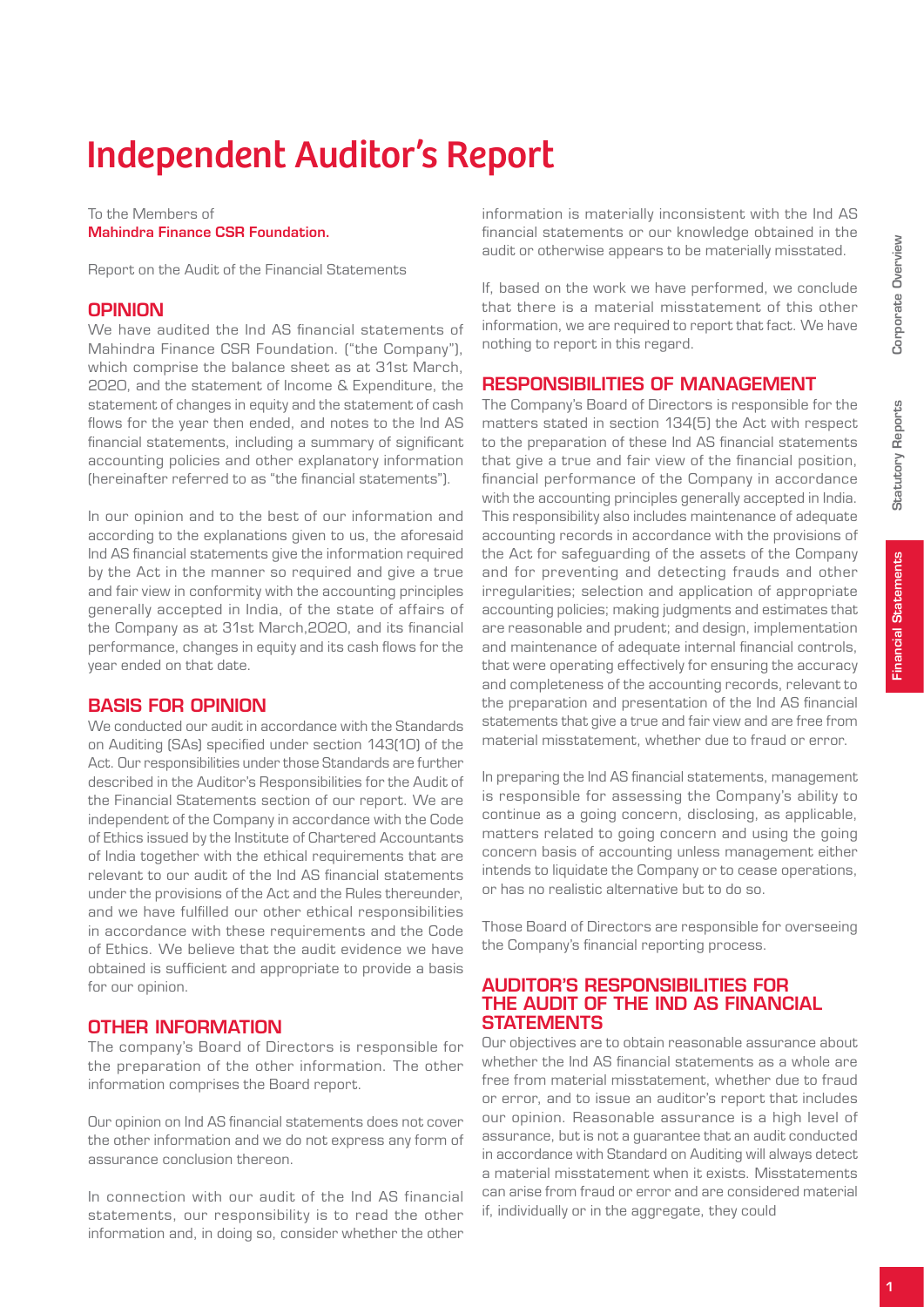Statutory Reports

**Statutory Reports** 

# Independent Auditor's Report

#### To the Members of Mahindra Finance CSR Foundation.

Report on the Audit of the Financial Statements

#### **OPINION**

We have audited the Ind AS financial statements of Mahindra Finance CSR Foundation. ("the Company"), which comprise the balance sheet as at 31st March, 2020, and the statement of Income & Expenditure, the statement of changes in equity and the statement of cash flows for the year then ended, and notes to the Ind AS financial statements, including a summary of significant accounting policies and other explanatory information (hereinafter referred to as "the financial statements").

In our opinion and to the best of our information and according to the explanations given to us, the aforesaid Ind AS financial statements give the information required by the Act in the manner so required and give a true and fair view in conformity with the accounting principles generally accepted in India, of the state of affairs of the Company as at 31st March,2020, and its financial performance, changes in equity and its cash flows for the year ended on that date.

#### Basis for Opinion

We conducted our audit in accordance with the Standards on Auditing (SAs) specified under section 143(10) of the Act. Our responsibilities under those Standards are further described in the Auditor's Responsibilities for the Audit of the Financial Statements section of our report. We are independent of the Company in accordance with the Code of Ethics issued by the Institute of Chartered Accountants of India together with the ethical requirements that are relevant to our audit of the Ind AS financial statements under the provisions of the Act and the Rules thereunder, and we have fulfilled our other ethical responsibilities in accordance with these requirements and the Code of Ethics. We believe that the audit evidence we have obtained is sufficient and appropriate to provide a basis for our opinion.

#### Other Information

The company's Board of Directors is responsible for the preparation of the other information. The other information comprises the Board report.

Our opinion on Ind AS financial statements does not cover the other information and we do not express any form of assurance conclusion thereon.

In connection with our audit of the Ind AS financial statements, our responsibility is to read the other information and, in doing so, consider whether the other

information is materially inconsistent with the Ind AS financial statements or our knowledge obtained in the audit or otherwise appears to be materially misstated.

If, based on the work we have performed, we conclude that there is a material misstatement of this other information, we are required to report that fact. We have nothing to report in this regard.

#### Responsibilities of Management

The Company's Board of Directors is responsible for the matters stated in section 134(5) the Act with respect to the preparation of these Ind AS financial statements that give a true and fair view of the financial position, financial performance of the Company in accordance with the accounting principles generally accepted in India. This responsibility also includes maintenance of adequate accounting records in accordance with the provisions of the Act for safeguarding of the assets of the Company and for preventing and detecting frauds and other irregularities; selection and application of appropriate accounting policies; making judgments and estimates that are reasonable and prudent; and design, implementation and maintenance of adequate internal financial controls, that were operating effectively for ensuring the accuracy and completeness of the accounting records, relevant to the preparation and presentation of the Ind AS financial statements that give a true and fair view and are free from material misstatement, whether due to fraud or error.

In preparing the Ind AS financial statements, management is responsible for assessing the Company's ability to continue as a going concern, disclosing, as applicable, matters related to going concern and using the going concern basis of accounting unless management either intends to liquidate the Company or to cease operations, or has no realistic alternative but to do so.

Those Board of Directors are responsible for overseeing the Company's financial reporting process.

#### Auditor's Responsibilities for the Audit of the Ind AS Financial **STATEMENTS**

Our objectives are to obtain reasonable assurance about whether the Ind AS financial statements as a whole are free from material misstatement, whether due to fraud or error, and to issue an auditor's report that includes our opinion. Reasonable assurance is a high level of assurance, but is not a guarantee that an audit conducted in accordance with Standard on Auditing will always detect a material misstatement when it exists. Misstatements can arise from fraud or error and are considered material if, individually or in the aggregate, they could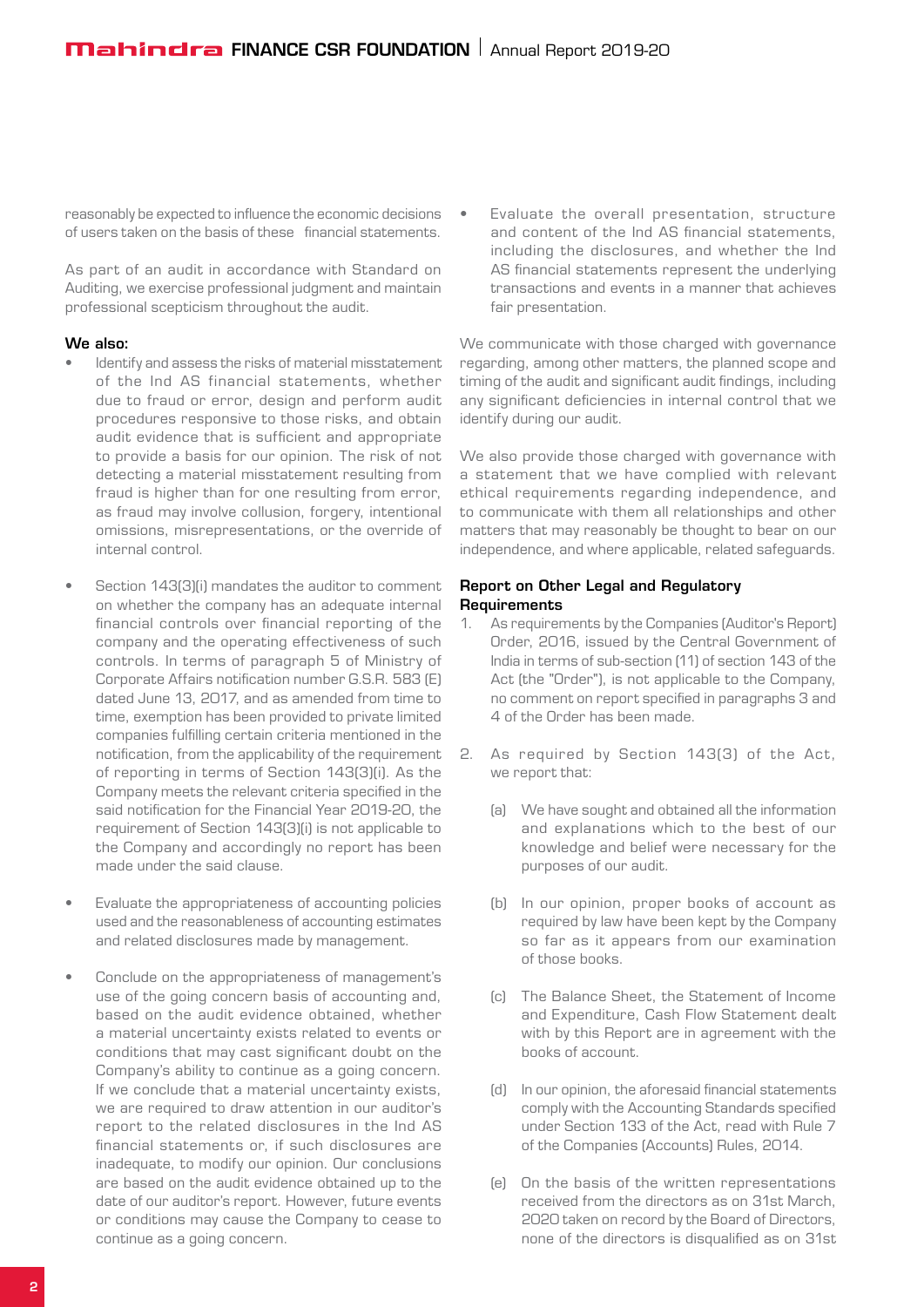reasonably be expected to influence the economic decisions of users taken on the basis of these financial statements.

As part of an audit in accordance with Standard on Auditing, we exercise professional judgment and maintain professional scepticism throughout the audit.

#### We also:

- Identify and assess the risks of material misstatement of the Ind AS financial statements, whether due to fraud or error, design and perform audit procedures responsive to those risks, and obtain audit evidence that is sufficient and appropriate to provide a basis for our opinion. The risk of not detecting a material misstatement resulting from fraud is higher than for one resulting from error, as fraud may involve collusion, forgery, intentional omissions, misrepresentations, or the override of internal control.
- • Section 143(3)(i) mandates the auditor to comment on whether the company has an adequate internal financial controls over financial reporting of the company and the operating effectiveness of such controls. In terms of paragraph 5 of Ministry of Corporate Affairs notification number G.S.R. 583 (E) dated June 13, 2017, and as amended from time to time, exemption has been provided to private limited companies fulfilling certain criteria mentioned in the notification, from the applicability of the requirement of reporting in terms of Section 143(3)(i). As the Company meets the relevant criteria specified in the said notification for the Financial Year 2019-20, the requirement of Section 143(3)(i) is not applicable to the Company and accordingly no report has been made under the said clause.
- Evaluate the appropriateness of accounting policies used and the reasonableness of accounting estimates and related disclosures made by management.
- Conclude on the appropriateness of management's use of the going concern basis of accounting and, based on the audit evidence obtained, whether a material uncertainty exists related to events or conditions that may cast significant doubt on the Company's ability to continue as a going concern. If we conclude that a material uncertainty exists, we are required to draw attention in our auditor's report to the related disclosures in the Ind AS financial statements or, if such disclosures are inadequate, to modify our opinion. Our conclusions are based on the audit evidence obtained up to the date of our auditor's report. However, future events or conditions may cause the Company to cease to continue as a going concern.

Evaluate the overall presentation, structure and content of the Ind AS financial statements, including the disclosures, and whether the Ind AS financial statements represent the underlying transactions and events in a manner that achieves fair presentation.

We communicate with those charged with governance regarding, among other matters, the planned scope and timing of the audit and significant audit findings, including any significant deficiencies in internal control that we identify during our audit.

We also provide those charged with governance with a statement that we have complied with relevant ethical requirements regarding independence, and to communicate with them all relationships and other matters that may reasonably be thought to bear on our independence, and where applicable, related safeguards.

#### Report on Other Legal and Regulatory **Requirements**

- As requirements by the Companies (Auditor's Report) Order, 2016, issued by the Central Government of India in terms of sub-section (11) of section 143 of the Act (the "Order"), is not applicable to the Company, no comment on report specified in paragraphs 3 and 4 of the Order has been made.
- 2. As required by Section 143(3) of the Act, we report that:
	- (a) We have sought and obtained all the information and explanations which to the best of our knowledge and belief were necessary for the purposes of our audit.
	- (b) In our opinion, proper books of account as required by law have been kept by the Company so far as it appears from our examination of those books.
	- (c) The Balance Sheet, the Statement of Income and Expenditure, Cash Flow Statement dealt with by this Report are in agreement with the books of account.
	- (d) In our opinion, the aforesaid financial statements comply with the Accounting Standards specified under Section 133 of the Act, read with Rule 7 of the Companies (Accounts) Rules, 2014.
	- (e) On the basis of the written representations received from the directors as on 31st March, 2020 taken on record by the Board of Directors, none of the directors is disqualified as on 31st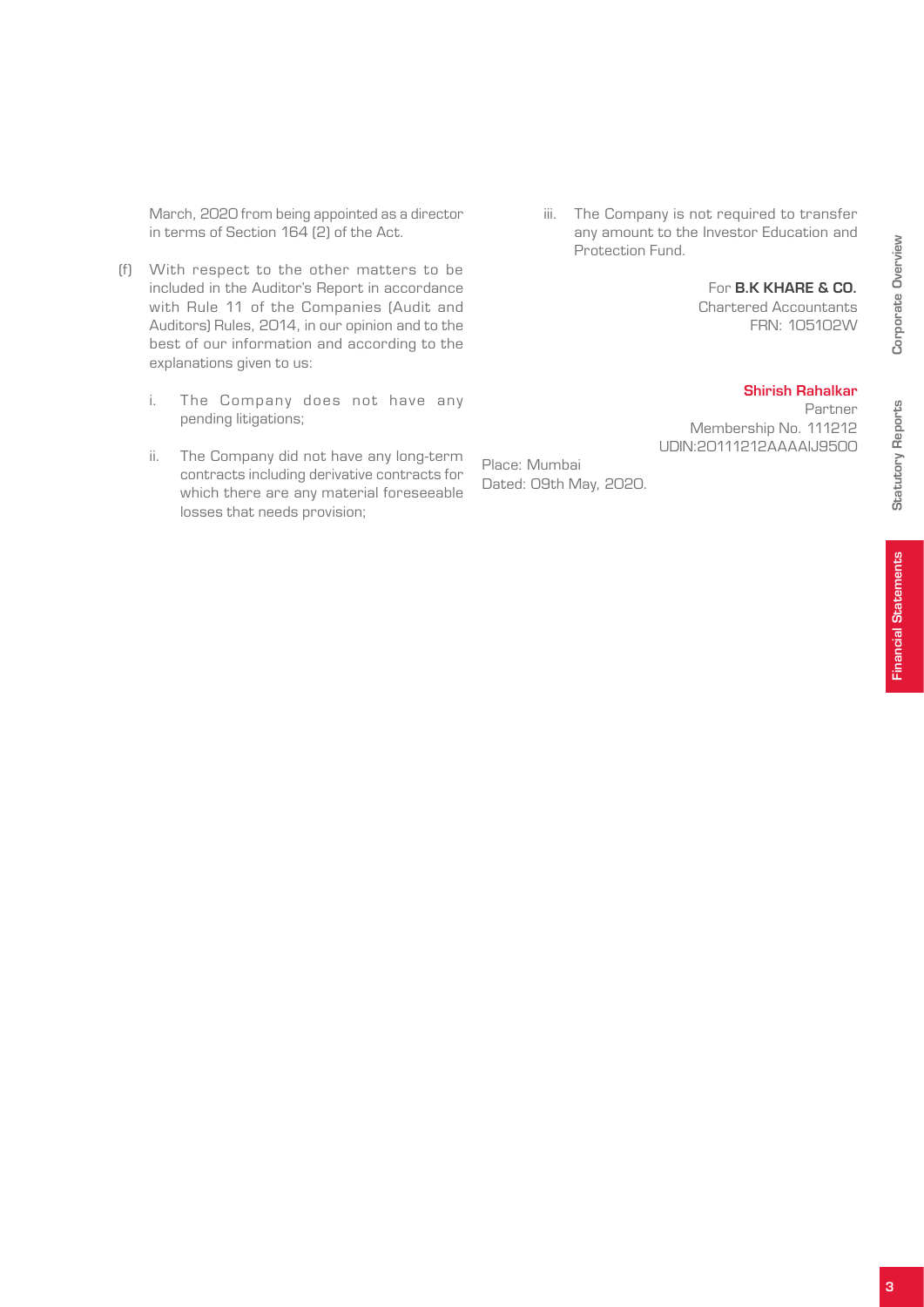March, 2020 from being appointed as a director in terms of Section 164 (2) of the Act.

- (f) With respect to the other matters to be included in the Auditor's Report in accordance with Rule 11 of the Companies (Audit and Auditors) Rules, 2014, in our opinion and to the best of our information and according to the explanations given to us:
	- i. The Company does not have any pending litigations;
	- ii. The Company did not have any long-term contracts including derivative contracts for which there are any material foreseeable losses that needs provision;

 iii. The Company is not required to transfer any amount to the Investor Education and Protection Fund.

#### For B.K KHARE & CO.

Chartered Accountants FRN: 105102W

#### Shirish Rahalkar

Partner Membership No. 111212 UDIN:20111212AAAAIJ9500

Place: Mumbai Dated: 09th May, 2020. Corporate Overview

Corporate Overview

Statutory Reports

**Statutory Reports**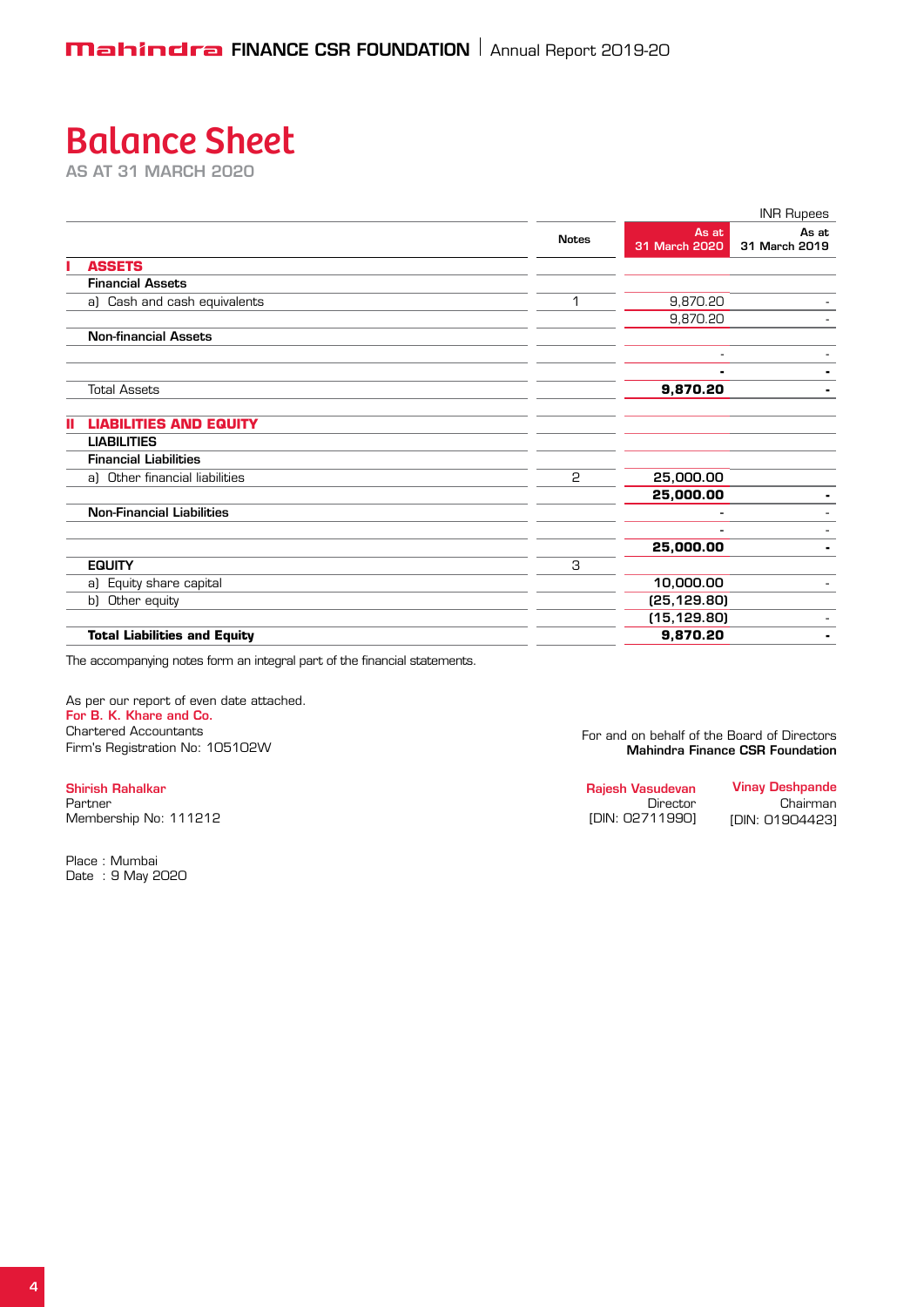# Balance Sheet

as at 31 March 2020

|                                     |              |                        | <b>INR Rupees</b>      |
|-------------------------------------|--------------|------------------------|------------------------|
|                                     | <b>Notes</b> | As at<br>31 March 2020 | As at<br>31 March 2019 |
| <b>ASSETS</b>                       |              |                        |                        |
| <b>Financial Assets</b>             |              |                        |                        |
| a) Cash and cash equivalents        | 1            | 9,870.20               |                        |
|                                     |              | 9,870.20               |                        |
| <b>Non-financial Assets</b>         |              |                        |                        |
|                                     |              |                        |                        |
|                                     |              |                        | ۰.                     |
| <b>Total Assets</b>                 |              | 9,870.20               | ٠                      |
| <b>LIABILITIES AND EQUITY</b>       |              |                        |                        |
| <b>LIABILITIES</b>                  |              |                        |                        |
| <b>Financial Liabilities</b>        |              |                        |                        |
| a) Other financial liabilities      | 2            | 25,000.00              |                        |
|                                     |              | 25,000.00              |                        |
| <b>Non-Financial Liabilities</b>    |              |                        |                        |
|                                     |              |                        |                        |
|                                     |              | 25,000.00              | ۰.                     |
| <b>EQUITY</b>                       | З            |                        |                        |
| a) Equity share capital             |              | 10,000.00              |                        |
| b) Other equity                     |              | (25, 129.80)           |                        |
|                                     |              | (15, 129.80)           |                        |
| <b>Total Liabilities and Equity</b> |              | 9,870.20               | ۰.                     |

The accompanying notes form an integral part of the financial statements.

As per our report of even date attached. For B. K. Khare and Co. Chartered Accountants Firm's Registration No: 105102W

Shirish Rahalkar Partner Membership No: 111212

Place : Mumbai Date : 9 May 2020  For and on behalf of the Board of Directors Mahindra Finance CSR Foundation

| Rajesh Vasudevan | <b>Vinay Deshpande</b> |
|------------------|------------------------|
| Director         | Chairman               |
| [DIN: 02711990]  | [DIN: 01904423]        |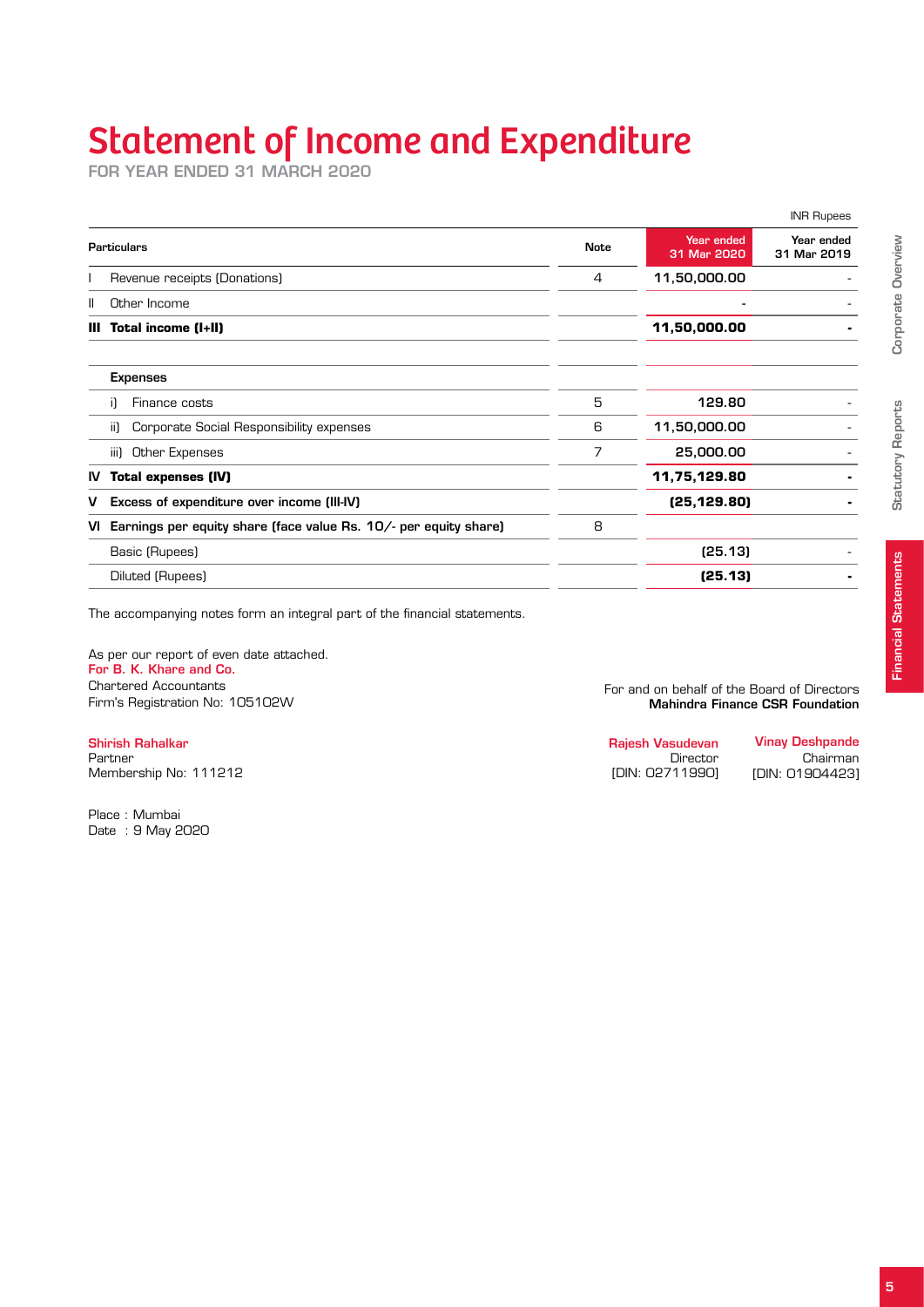# Statement of Income and Expenditure

for year ended 31 March 2020

|     |                                                                  |             |                           | <b>INR Rupees</b>         |
|-----|------------------------------------------------------------------|-------------|---------------------------|---------------------------|
|     | <b>Particulars</b>                                               | <b>Note</b> | Year ended<br>31 Mar 2020 | Year ended<br>31 Mar 2019 |
|     | Revenue receipts (Donations)                                     | 4           | 11,50,000.00              |                           |
| Ш   | Other Income                                                     |             | $\overline{\phantom{0}}$  |                           |
| Ш   | Total income (I+II)                                              |             | 11,50,000.00              |                           |
|     | <b>Expenses</b>                                                  |             |                           |                           |
|     | Finance costs<br>-i1                                             | 5           | 129.80                    |                           |
|     | Corporate Social Responsibility expenses<br>-ii)                 | 6           | 11,50,000.00              |                           |
|     | Other Expenses<br>iii)                                           | 7           | 25,000.00                 |                           |
| IV. | <b>Total expenses (IV)</b>                                       |             | 11,75,129.80              |                           |
| v   | Excess of expenditure over income (III-IV)                       |             | (25, 129.80)              |                           |
| vı  | Earnings per equity share (face value Rs. 10/- per equity share) | 8           |                           |                           |
|     | Basic (Rupees)                                                   |             | (25.13)                   |                           |
|     | Diluted (Rupees)                                                 |             | (25.13)                   |                           |

The accompanying notes form an integral part of the financial statements.

As per our report of even date attached. For B. K. Khare and Co. Chartered Accountants Firm's Registration No: 105102W

Shirish Rahalkar Partner Membership No: 111212

Place : Mumbai Date : 9 May 2020  For and on behalf of the Board of Directors Mahindra Finance CSR Foundation

| Raiesh Vasudevan | <b>Vinay Deshpande</b> |
|------------------|------------------------|
| Director         | Chairman               |
| [DIN: 02711990]  | [DIN: 01904423]        |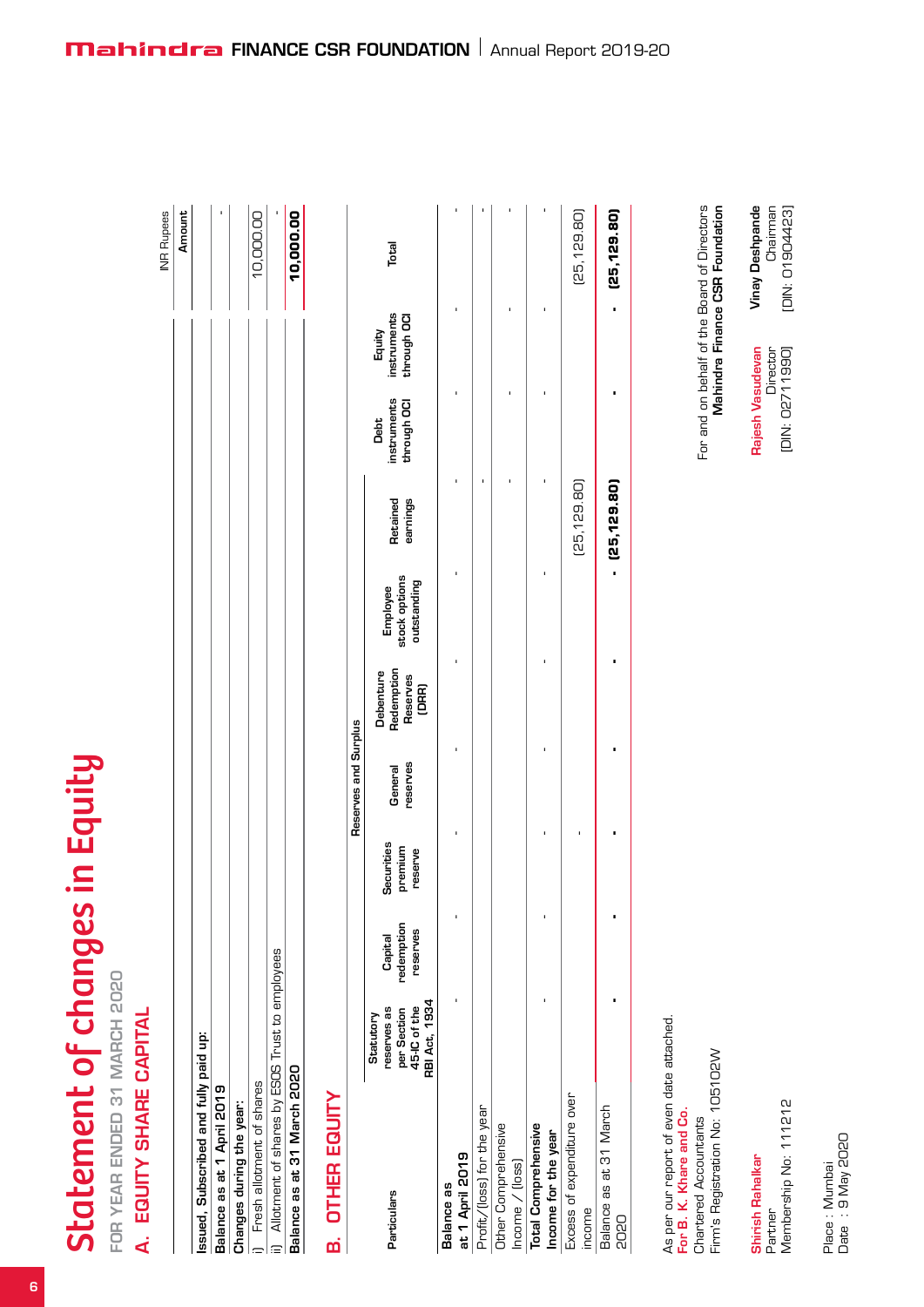# Statement of changes in Equity Statement of changes in Equity

FOR YEAR ENDED 31 MARCH 2020 year ended 31 March 2020

# A. EQUITY SHARE CAPITAL A. Equity share capital

|                                                    | <b>NR Rupees</b> |
|----------------------------------------------------|------------------|
|                                                    | Amount           |
| ssued, Subscribed and fully paid up:               |                  |
| Balance as at 1 April 2019                         |                  |
| Changes during the year:                           |                  |
| Fresh allotment of shares                          | 10,000.00        |
| ii) Allotment of shares by ESOS Trust to employees |                  |
| Balance as at 31 March 2020                        | 10,000.00        |
|                                                    |                  |

# **OTHER EQUITY** B. Other Equity ø

|                            |                                                                                 |                                   |                                  | Reserves and Surplus |                                              |                                          |                      |                                    |                                      |              |
|----------------------------|---------------------------------------------------------------------------------|-----------------------------------|----------------------------------|----------------------|----------------------------------------------|------------------------------------------|----------------------|------------------------------------|--------------------------------------|--------------|
| Particulars                | <b>RBI Act, 1934</b><br>45-IC of the<br>reserves as<br>per Section<br>Statutory | redemption<br>reserves<br>Capital | Securities<br>premium<br>reserve | reserves<br>General  | Redemption<br>Debenture<br>Reserves<br>(DRR) | Employee<br>stock options<br>outstanding | earnings<br>Retained | instruments<br>through OCI<br>Debt | instruments<br>through OCI<br>Equity | Total        |
| Balance as                 |                                                                                 |                                   |                                  |                      |                                              |                                          |                      |                                    |                                      |              |
| at 1 April 2019            |                                                                                 |                                   |                                  |                      |                                              |                                          |                      |                                    |                                      |              |
| Profit/(loss) for the year |                                                                                 |                                   |                                  |                      |                                              |                                          |                      |                                    |                                      |              |
| Other Comprehensive        |                                                                                 |                                   |                                  |                      |                                              |                                          |                      |                                    |                                      |              |
| $lncome /$ (loss)          |                                                                                 |                                   |                                  |                      |                                              |                                          |                      |                                    |                                      |              |
| <b>Total Comprehensive</b> |                                                                                 |                                   |                                  |                      |                                              |                                          |                      |                                    |                                      |              |
| Income for the year        |                                                                                 |                                   |                                  |                      |                                              |                                          |                      |                                    |                                      |              |
| Excess of expenditure over |                                                                                 |                                   |                                  |                      |                                              |                                          | (25, 129.80)         |                                    |                                      | [25, 129.80] |
| income                     |                                                                                 |                                   |                                  |                      |                                              |                                          |                      |                                    |                                      |              |
| Balance as at 31 March     |                                                                                 |                                   |                                  |                      |                                              |                                          | $ (25, 129.80)$      |                                    |                                      | (25,129.80)  |
| <b>DSOS</b>                |                                                                                 |                                   |                                  |                      |                                              |                                          |                      |                                    |                                      |              |
|                            |                                                                                 |                                   |                                  |                      |                                              |                                          |                      |                                    |                                      |              |

As per our report of even date attached. As per our report of even date attached. Chartered Accountants<br>Firm's Registration No: 105102W For B. K. Khare and Co. For B. K. Khare and Co. Chartered Accountants

 For and on behalf of the Board of Directors Mahindra Finance CSR Foundation

For and on behalf of the Board of Directors<br>Mahindra Finance CSR Foundation

Rajesh Vasudevan Rajesh Vasudevan<br>Director<br>DIN: O2711990] [DIN: 02711990]

Vinay Deshpande Chairman [DIN: 01904423]

**Vinay Deshpande** Chairman [DIN: 01904423]

Firm's Registration No: 105102W

Shirish Rahalkar

**Shirish Rahalkar**<br>Partner<br>Membership No: 111212 Membership No: 111212

Place : Mumbai<br>Date : 9 May 2020 Date : 9 May 2020Place : Mumbai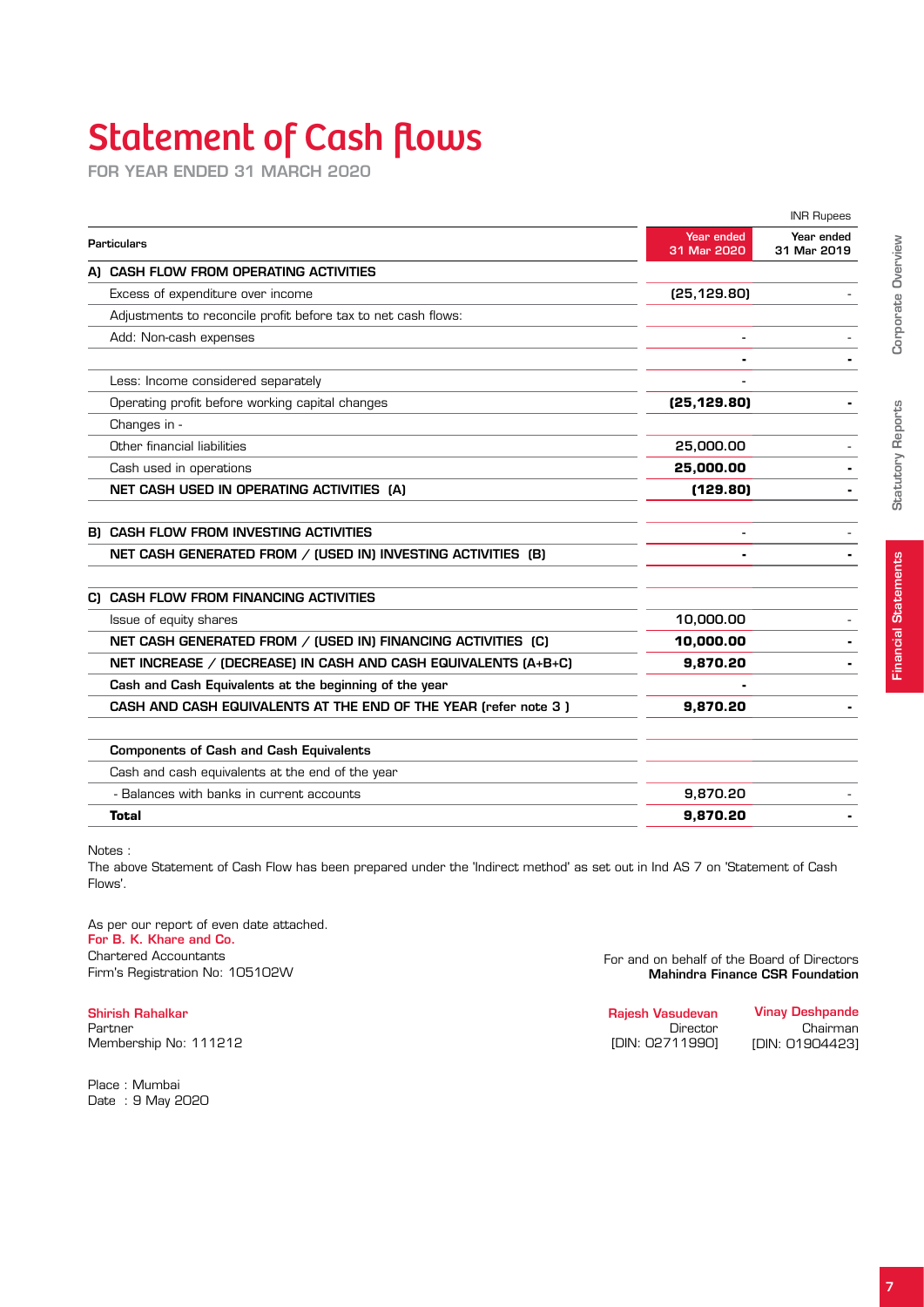# Statement of Cash flows

for year ended 31 March 2020

|                                                                 |                           | <b>INR Rupees</b>         |
|-----------------------------------------------------------------|---------------------------|---------------------------|
| Particulars                                                     | Year ended<br>31 Mar 2020 | Year ended<br>31 Mar 2019 |
| A) CASH FLOW FROM OPERATING ACTIVITIES                          |                           |                           |
| Excess of expenditure over income                               | (25, 129.80)              |                           |
| Adjustments to reconcile profit before tax to net cash flows:   |                           |                           |
| Add: Non-cash expenses                                          |                           |                           |
| Less: Income considered separately                              |                           |                           |
| Operating profit before working capital changes                 | (25,129.80)               |                           |
| Changes in -                                                    |                           |                           |
| Other financial liabilities                                     | 25,000.00                 |                           |
| Cash used in operations                                         | 25,000.00                 |                           |
| NET CASH USED IN OPERATING ACTIVITIES (A)                       | (129.80)                  |                           |
| B) CASH FLOW FROM INVESTING ACTIVITIES                          |                           |                           |
| NET CASH GENERATED FROM / (USED IN) INVESTING ACTIVITIES (B)    |                           |                           |
| CI CASH FLOW FROM FINANCING ACTIVITIES                          |                           |                           |
| Issue of equity shares                                          | 10,000.00                 |                           |
| NET CASH GENERATED FROM / (USED IN) FINANCING ACTIVITIES (C)    | 10,000.00                 |                           |
| NET INCREASE / (DECREASE) IN CASH AND CASH EQUIVALENTS (A+B+C)  | 9,870.20                  |                           |
| Cash and Cash Equivalents at the beginning of the year          |                           |                           |
| CASH AND CASH EQUIVALENTS AT THE END OF THE YEAR (refer note 3) | 9,870.20                  |                           |
| <b>Components of Cash and Cash Equivalents</b>                  |                           |                           |
| Cash and cash equivalents at the end of the year                |                           |                           |
| - Balances with banks in current accounts                       | 9,870.20                  |                           |
| <b>Total</b>                                                    | 9,870.20                  |                           |

Notes :

The above Statement of Cash Flow has been prepared under the 'Indirect method' as set out in Ind AS 7 on 'Statement of Cash Flows'.

As per our report of even date attached. For B. K. Khare and Co. Chartered Accountants Firm's Registration No: 105102W

Shirish Rahalkar Partner Membership No: 111212

Place : Mumbai Date : 9 May 2020  For and on behalf of the Board of Directors Mahindra Finance CSR Foundation

| <b>Vinay Deshpande</b> |
|------------------------|
| Chairman               |
| IDIN: 019044231        |
|                        |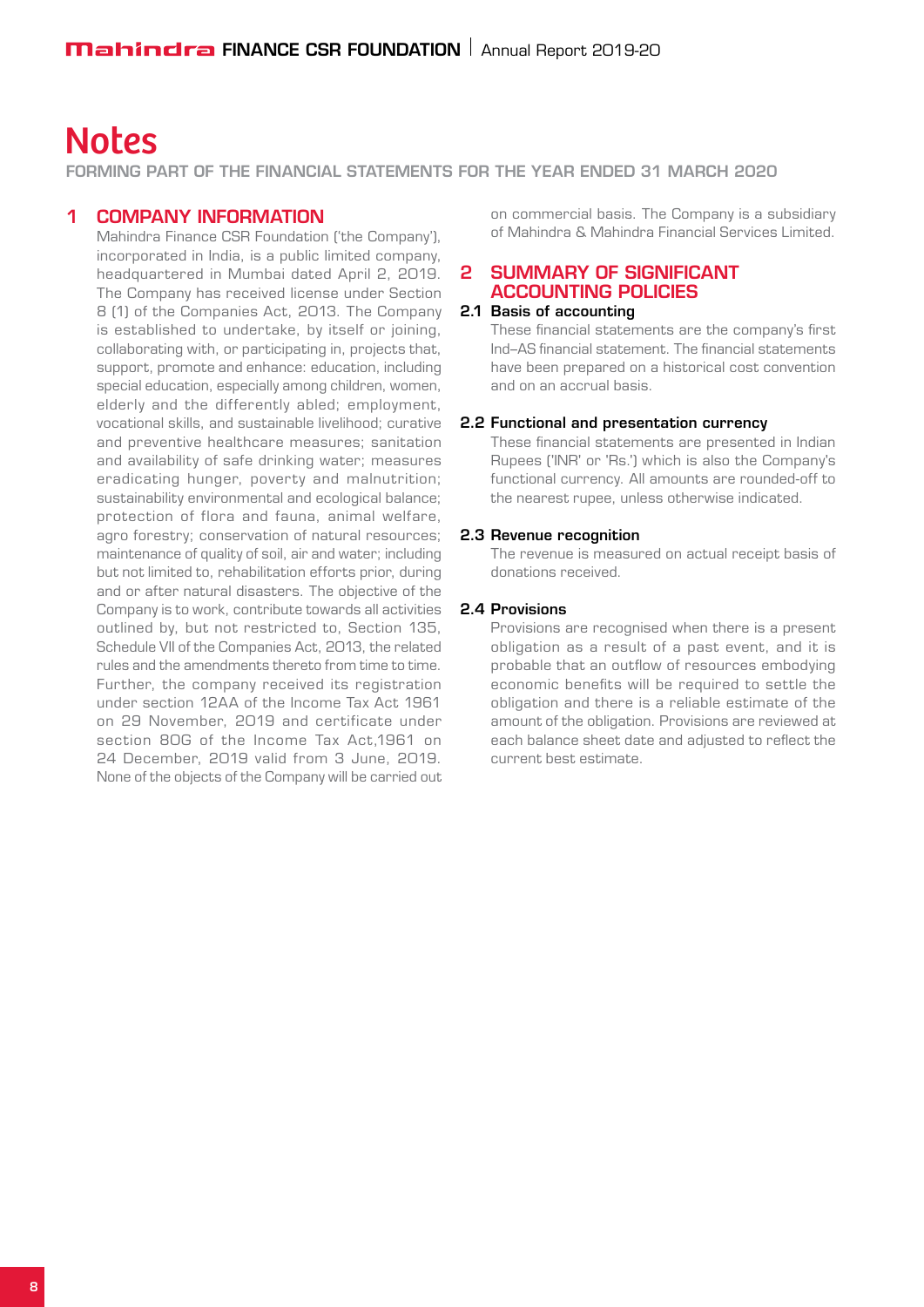## **Notes**

forming part of the Financial Statements for the year ended 31 March 2020

#### 1 COMPANY INFORMATION

Mahindra Finance CSR Foundation ('the Company'), incorporated in India, is a public limited company, headquartered in Mumbai dated April 2, 2019. The Company has received license under Section 8 (1) of the Companies Act, 2013. The Company is established to undertake, by itself or joining, collaborating with, or participating in, projects that, support, promote and enhance: education, including special education, especially among children, women, elderly and the differently abled; employment, vocational skills, and sustainable livelihood; curative and preventive healthcare measures; sanitation and availability of safe drinking water; measures eradicating hunger, poverty and malnutrition; sustainability environmental and ecological balance; protection of flora and fauna, animal welfare, agro forestry; conservation of natural resources; maintenance of quality of soil, air and water; including but not limited to, rehabilitation efforts prior, during and or after natural disasters. The objective of the Company is to work, contribute towards all activities outlined by, but not restricted to, Section 135, Schedule VII of the Companies Act, 2013, the related rules and the amendments thereto from time to time. Further, the company received its registration under section 12AA of the Income Tax Act 1961 on 29 November, 2019 and certificate under section 80G of the Income Tax Act. 1961 on 24 December, 2019 valid from 3 June, 2019. None of the objects of the Company will be carried out

on commercial basis. The Company is a subsidiary of Mahindra & Mahindra Financial Services Limited.

#### 2 SUMMARY OF SIGNIFICANT ACCOUNTING POLICIES

#### 2.1 Basis of accounting

These financial statements are the company's first Ind–AS financial statement. The financial statements have been prepared on a historical cost convention and on an accrual basis.

#### 2.2 Functional and presentation currency

These financial statements are presented in Indian Rupees ('INR' or 'Rs.') which is also the Company's functional currency. All amounts are rounded-off to the nearest rupee, unless otherwise indicated.

#### 2.3 Revenue recognition

The revenue is measured on actual receipt basis of donations received.

#### 2.4 Provisions

Provisions are recognised when there is a present obligation as a result of a past event, and it is probable that an outflow of resources embodying economic benefits will be required to settle the obligation and there is a reliable estimate of the amount of the obligation. Provisions are reviewed at each balance sheet date and adjusted to reflect the current best estimate.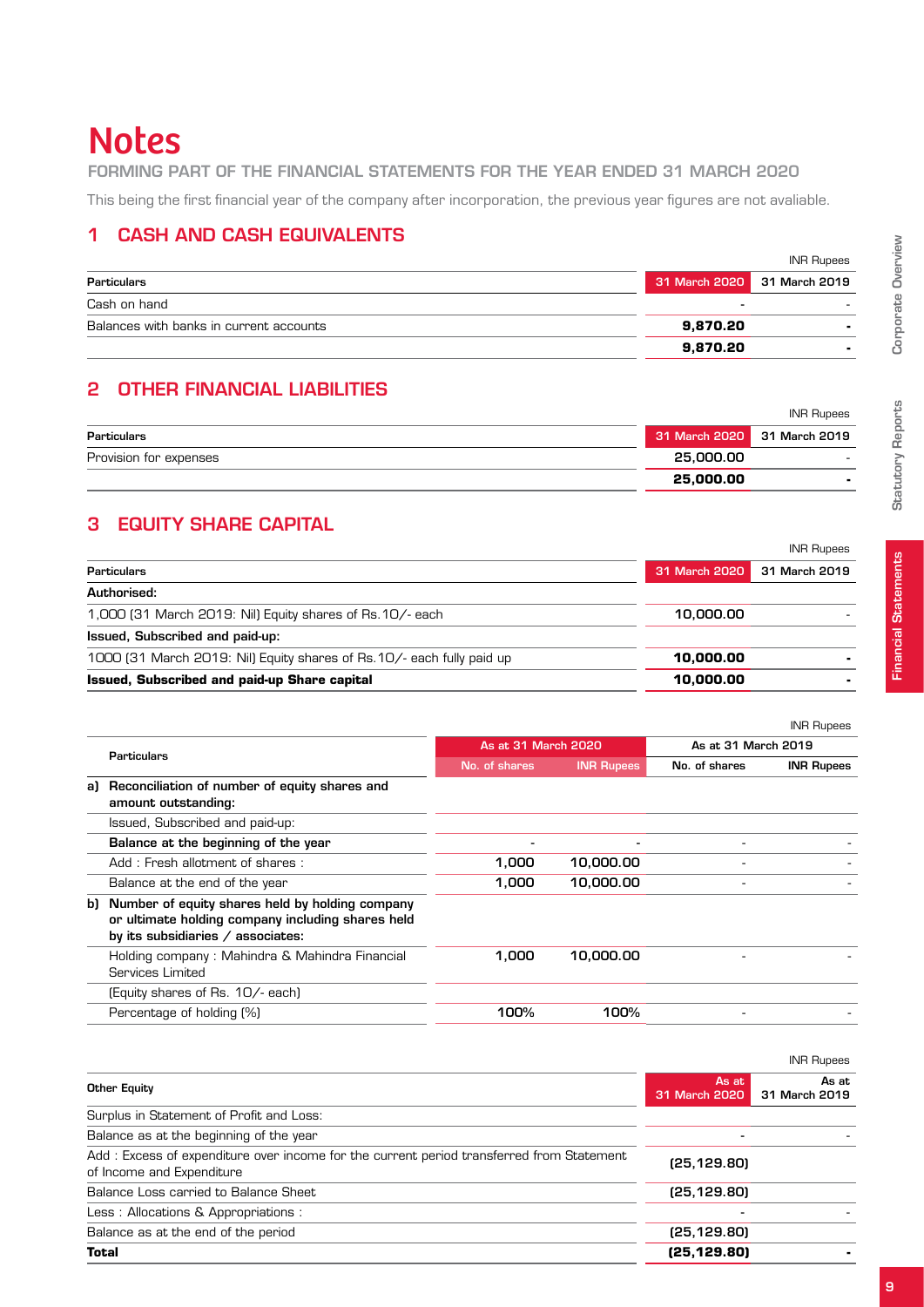# **Notes**

#### forming part of the Financial Statements for the year ended 31 March 2020

This being the first financial year of the company after incorporation, the previous year figures are not avaliable.

#### 1 Cash and cash equivalents

|                                         |                             | <b>INR Rupees</b> |
|-----------------------------------------|-----------------------------|-------------------|
| Particulars                             | 31 March 2020 31 March 2019 |                   |
| Cash on hand                            |                             |                   |
| Balances with banks in current accounts | 9,870.20                    |                   |
|                                         | 9,870.20                    |                   |

#### 2 Other financial liabilities

|                        |                             | <b>INR Rupees</b> |
|------------------------|-----------------------------|-------------------|
| Particulars            | 31 March 2020 31 March 2019 |                   |
| Provision for expenses | 25,000,00                   | . .               |
|                        | 25,000.00                   |                   |

#### **3 EQUITY SHARE CAPITAL**

|                                                                        |               | <b>INR Rupees</b> |
|------------------------------------------------------------------------|---------------|-------------------|
| Particulars                                                            | 31 March 2020 | 31 March 2019     |
| Authorised:                                                            |               |                   |
| 1,000 [31 March 2019: Nil) Equity shares of Rs. 10/- each              | 10,000,00     |                   |
| Issued, Subscribed and paid-up:                                        |               |                   |
| 1000 (31 March 2019: Nil) Equity shares of Rs. 10/- each fully paid up | 10,000,00     |                   |
| <b>Issued, Subscribed and paid-up Share capital</b>                    | 10.000.00     |                   |

|    |                                                                                                                                              |                          |                   |                     | <b>INR Rupees</b> |
|----|----------------------------------------------------------------------------------------------------------------------------------------------|--------------------------|-------------------|---------------------|-------------------|
|    | Particulars                                                                                                                                  | As at 31 March 2020      |                   | As at 31 March 2019 |                   |
|    |                                                                                                                                              | No. of shares            | <b>INR Rupees</b> | No. of shares       | <b>INR Rupees</b> |
| al | Reconciliation of number of equity shares and<br>amount outstanding:                                                                         |                          |                   |                     |                   |
|    | Issued, Subscribed and paid-up:                                                                                                              |                          |                   |                     |                   |
|    | Balance at the beginning of the year                                                                                                         | $\overline{\phantom{a}}$ |                   |                     |                   |
|    | Add: Fresh allotment of shares:                                                                                                              | 1,000                    | 10,000.00         |                     |                   |
|    | Balance at the end of the year                                                                                                               | 1,000                    | 10,000.00         |                     |                   |
|    | b) Number of equity shares held by holding company<br>or ultimate holding company including shares held<br>by its subsidiaries / associates: |                          |                   |                     |                   |
|    | Holding company: Mahindra & Mahindra Financial<br>Services Limited                                                                           | 1.000                    | 10,000.00         |                     |                   |
|    | (Equity shares of Rs. 10/- each)                                                                                                             |                          |                   |                     |                   |
|    | Percentage of holding (%)                                                                                                                    | 100%                     | 100%              |                     |                   |

|                                                                                                                       | <b>IIVR RUDBES</b>     |                        |
|-----------------------------------------------------------------------------------------------------------------------|------------------------|------------------------|
| Other Equity                                                                                                          | As at<br>31 March 2020 | As at<br>31 March 2019 |
| Surplus in Statement of Profit and Loss:                                                                              |                        |                        |
| Balance as at the beginning of the year                                                                               |                        |                        |
| Add: Excess of expenditure over income for the current period transferred from Statement<br>of Income and Expenditure | (25, 129.80)           |                        |
| Balance Loss carried to Balance Sheet                                                                                 | (25, 129.80)           |                        |
| Less: Allocations & Appropriations:                                                                                   |                        |                        |
| Balance as at the end of the period                                                                                   | (25, 129.80)           |                        |
| <b>Total</b>                                                                                                          | (25, 129.80)           |                        |
|                                                                                                                       |                        |                        |

Statutory Reports

**Statutory Reports** 

Corporate Overview

Corporate Overview

 $I_{\rm NIR} \sim R$